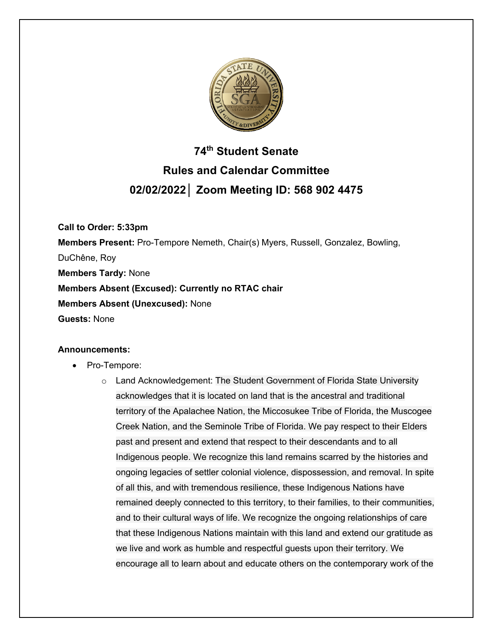

# **74th Student Senate Rules and Calendar Committee 02/02/2022│ Zoom Meeting ID: 568 902 4475**

**Call to Order: 5:33pm Members Present:** Pro-Tempore Nemeth, Chair(s) Myers, Russell, Gonzalez, Bowling, DuChêne, Roy **Members Tardy:** None **Members Absent (Excused): Currently no RTAC chair Members Absent (Unexcused):** None **Guests:** None

### **Announcements:**

- Pro-Tempore:
	- o Land Acknowledgement: The Student Government of Florida State University acknowledges that it is located on land that is the ancestral and traditional territory of the Apalachee Nation, the Miccosukee Tribe of Florida, the Muscogee Creek Nation, and the Seminole Tribe of Florida. We pay respect to their Elders past and present and extend that respect to their descendants and to all Indigenous people. We recognize this land remains scarred by the histories and ongoing legacies of settler colonial violence, dispossession, and removal. In spite of all this, and with tremendous resilience, these Indigenous Nations have remained deeply connected to this territory, to their families, to their communities, and to their cultural ways of life. We recognize the ongoing relationships of care that these Indigenous Nations maintain with this land and extend our gratitude as we live and work as humble and respectful guests upon their territory. We encourage all to learn about and educate others on the contemporary work of the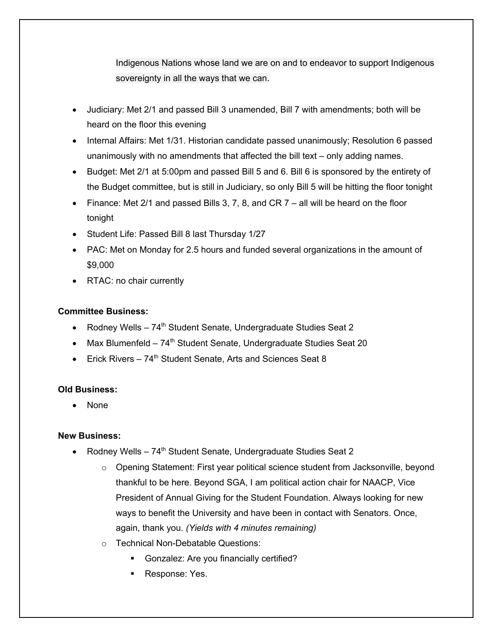Indigenous Nations whose land we are on and to endeavor to support Indigenous sovereignty in all the ways that we can.

- Judiciary: Met 2/1 and passed Bill 3 unamended, Bill 7 with amendments; both will be heard on the floor this evening
- Internal Affairs: Met 1/31. Historian candidate passed unanimously; Resolution 6 passed unanimously with no amendments that affected the bill text – only adding names.
- Budget: Met 2/1 at 5:00pm and passed Bill 5 and 6. Bill 6 is sponsored by the entirety of the Budget committee, but is still in Judiciary, so only Bill 5 will be hitting the floor tonight
- Finance: Met 2/1 and passed Bills 3, 7, 8, and CR  $7 -$  all will be heard on the floor tonight
- Student Life: Passed Bill 8 last Thursday 1/27
- PAC: Met on Monday for 2.5 hours and funded several organizations in the amount of \$9,000
- RTAC: no chair currently

## **Committee Business:**

- Rodney Wells  $-74<sup>th</sup>$  Student Senate, Undergraduate Studies Seat 2
- Max Blumenfeld  $-74<sup>th</sup>$  Student Senate, Undergraduate Studies Seat 20
- Erick Rivers  $74<sup>th</sup>$  Student Senate, Arts and Sciences Seat 8

## **Old Business:**

• None

## **New Business:**

- Rodney Wells  $74<sup>th</sup>$  Student Senate, Undergraduate Studies Seat 2
	- o Opening Statement: First year political science student from Jacksonville, beyond thankful to be here. Beyond SGA, I am political action chair for NAACP, Vice President of Annual Giving for the Student Foundation. Always looking for new ways to benefit the University and have been in contact with Senators. Once, again, thank you. *(Yields with 4 minutes remaining)*
	- o Technical Non-Debatable Questions:
		- § Gonzalez: Are you financially certified?
		- § Response: Yes.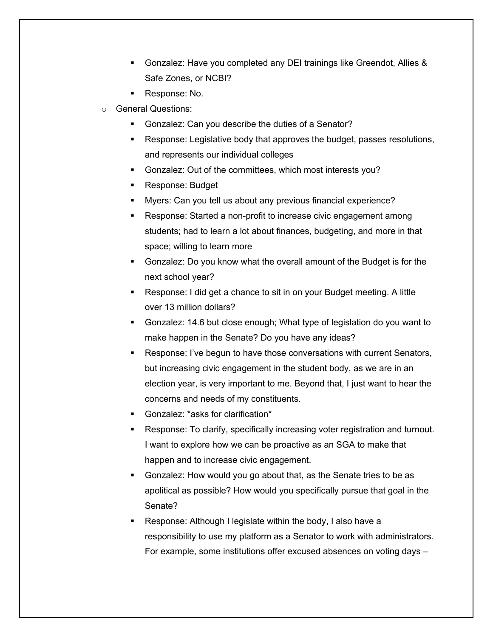- § Gonzalez: Have you completed any DEI trainings like Greendot, Allies & Safe Zones, or NCBI?
- Response: No.
- o General Questions:
	- § Gonzalez: Can you describe the duties of a Senator?
	- § Response: Legislative body that approves the budget, passes resolutions, and represents our individual colleges
	- § Gonzalez: Out of the committees, which most interests you?
	- § Response: Budget
	- § Myers: Can you tell us about any previous financial experience?
	- § Response: Started a non-profit to increase civic engagement among students; had to learn a lot about finances, budgeting, and more in that space; willing to learn more
	- § Gonzalez: Do you know what the overall amount of the Budget is for the next school year?
	- Response: I did get a chance to sit in on your Budget meeting. A little over 13 million dollars?
	- § Gonzalez: 14.6 but close enough; What type of legislation do you want to make happen in the Senate? Do you have any ideas?
	- Response: I've begun to have those conversations with current Senators, but increasing civic engagement in the student body, as we are in an election year, is very important to me. Beyond that, I just want to hear the concerns and needs of my constituents.
	- § Gonzalez: \*asks for clarification\*
	- Response: To clarify, specifically increasing voter registration and turnout. I want to explore how we can be proactive as an SGA to make that happen and to increase civic engagement.
	- § Gonzalez: How would you go about that, as the Senate tries to be as apolitical as possible? How would you specifically pursue that goal in the Senate?
	- § Response: Although I legislate within the body, I also have a responsibility to use my platform as a Senator to work with administrators. For example, some institutions offer excused absences on voting days –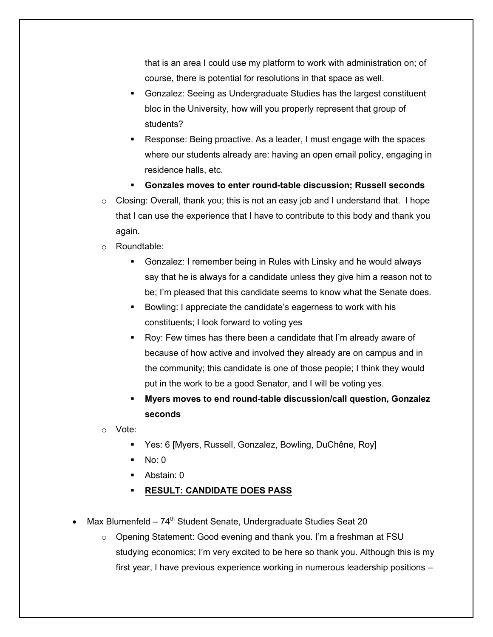that is an area I could use my platform to work with administration on; of course, there is potential for resolutions in that space as well.

- § Gonzalez: Seeing as Undergraduate Studies has the largest constituent bloc in the University, how will you properly represent that group of students?
- § Response: Being proactive. As a leader, I must engage with the spaces where our students already are: having an open email policy, engaging in residence halls, etc.
- § **Gonzales moves to enter round-table discussion; Russell seconds**
- $\circ$  Closing: Overall, thank you; this is not an easy job and I understand that. I hope that I can use the experience that I have to contribute to this body and thank you again.
- o Roundtable:
	- § Gonzalez: I remember being in Rules with Linsky and he would always say that he is always for a candidate unless they give him a reason not to be; I'm pleased that this candidate seems to know what the Senate does.
	- § Bowling: I appreciate the candidate's eagerness to work with his constituents; I look forward to voting yes
	- § Roy: Few times has there been a candidate that I'm already aware of because of how active and involved they already are on campus and in the community; this candidate is one of those people; I think they would put in the work to be a good Senator, and I will be voting yes.
	- § **Myers moves to end round-table discussion/call question, Gonzalez seconds**

o Vote:

- § Yes: 6 [Myers, Russell, Gonzalez, Bowling, DuChêne, Roy]
- $N<sub>0</sub>$ : 0
- § Abstain: 0
- § **RESULT: CANDIDATE DOES PASS**
- Max Blumenfeld  $74<sup>th</sup>$  Student Senate, Undergraduate Studies Seat 20
	- $\circ$  Opening Statement: Good evening and thank you. I'm a freshman at FSU studying economics; I'm very excited to be here so thank you. Although this is my first year, I have previous experience working in numerous leadership positions –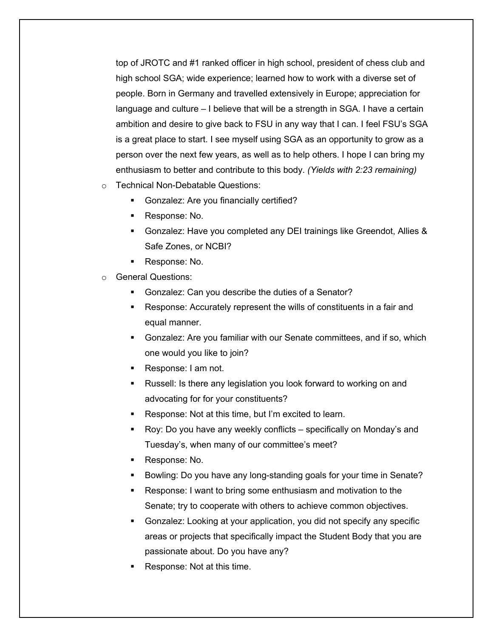top of JROTC and #1 ranked officer in high school, president of chess club and high school SGA; wide experience; learned how to work with a diverse set of people. Born in Germany and travelled extensively in Europe; appreciation for language and culture – I believe that will be a strength in SGA. I have a certain ambition and desire to give back to FSU in any way that I can. I feel FSU's SGA is a great place to start. I see myself using SGA as an opportunity to grow as a person over the next few years, as well as to help others. I hope I can bring my enthusiasm to better and contribute to this body. *(Yields with 2:23 remaining)*

- o Technical Non-Debatable Questions:
	- § Gonzalez: Are you financially certified?
	- § Response: No.
	- § Gonzalez: Have you completed any DEI trainings like Greendot, Allies & Safe Zones, or NCBI?
	- § Response: No.
- o General Questions:
	- § Gonzalez: Can you describe the duties of a Senator?
	- Response: Accurately represent the wills of constituents in a fair and equal manner.
	- § Gonzalez: Are you familiar with our Senate committees, and if so, which one would you like to join?
	- § Response: I am not.
	- Russell: Is there any legislation you look forward to working on and advocating for for your constituents?
	- Response: Not at this time, but I'm excited to learn.
	- § Roy: Do you have any weekly conflicts specifically on Monday's and Tuesday's, when many of our committee's meet?
	- § Response: No.
	- § Bowling: Do you have any long-standing goals for your time in Senate?
	- Response: I want to bring some enthusiasm and motivation to the Senate; try to cooperate with others to achieve common objectives.
	- § Gonzalez: Looking at your application, you did not specify any specific areas or projects that specifically impact the Student Body that you are passionate about. Do you have any?
	- § Response: Not at this time.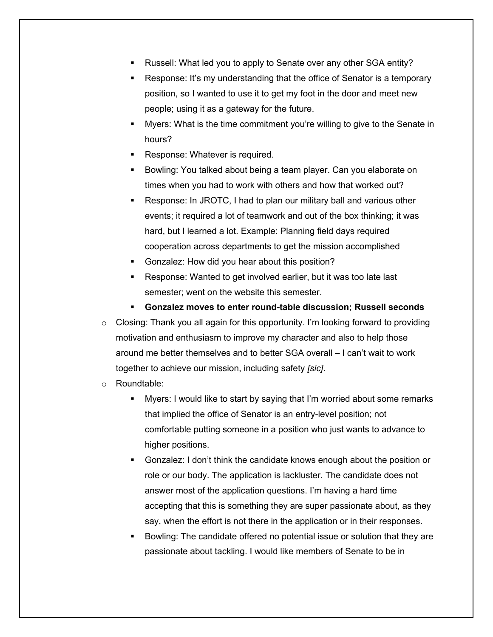- § Russell: What led you to apply to Senate over any other SGA entity?
- § Response: It's my understanding that the office of Senator is a temporary position, so I wanted to use it to get my foot in the door and meet new people; using it as a gateway for the future.
- § Myers: What is the time commitment you're willing to give to the Senate in hours?
- Response: Whatever is required.
- Bowling: You talked about being a team player. Can you elaborate on times when you had to work with others and how that worked out?
- Response: In JROTC, I had to plan our military ball and various other events; it required a lot of teamwork and out of the box thinking; it was hard, but I learned a lot. Example: Planning field days required cooperation across departments to get the mission accomplished
- § Gonzalez: How did you hear about this position?
- Response: Wanted to get involved earlier, but it was too late last semester; went on the website this semester.
- § **Gonzalez moves to enter round-table discussion; Russell seconds**
- o Closing: Thank you all again for this opportunity. I'm looking forward to providing motivation and enthusiasm to improve my character and also to help those around me better themselves and to better SGA overall – I can't wait to work together to achieve our mission, including safety *[sic]*.
- o Roundtable:
	- § Myers: I would like to start by saying that I'm worried about some remarks that implied the office of Senator is an entry-level position; not comfortable putting someone in a position who just wants to advance to higher positions.
	- § Gonzalez: I don't think the candidate knows enough about the position or role or our body. The application is lackluster. The candidate does not answer most of the application questions. I'm having a hard time accepting that this is something they are super passionate about, as they say, when the effort is not there in the application or in their responses.
	- § Bowling: The candidate offered no potential issue or solution that they are passionate about tackling. I would like members of Senate to be in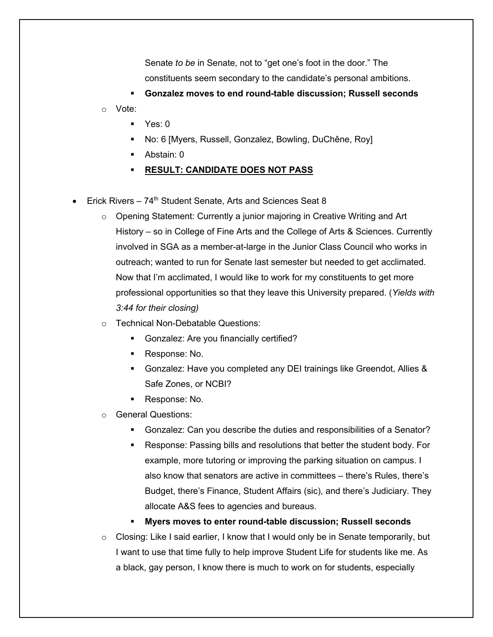Senate *to be* in Senate, not to "get one's foot in the door." The constituents seem secondary to the candidate's personal ambitions.

§ **Gonzalez moves to end round-table discussion; Russell seconds**

o Vote:

- $\blacksquare$  Yes: 0
- § No: 6 [Myers, Russell, Gonzalez, Bowling, DuChêne, Roy]
- Abstain: 0
- § **RESULT: CANDIDATE DOES NOT PASS**
- Erick Rivers  $74<sup>th</sup>$  Student Senate, Arts and Sciences Seat 8
	- $\circ$  Opening Statement: Currently a junior majoring in Creative Writing and Art History – so in College of Fine Arts and the College of Arts & Sciences. Currently involved in SGA as a member-at-large in the Junior Class Council who works in outreach; wanted to run for Senate last semester but needed to get acclimated. Now that I'm acclimated, I would like to work for my constituents to get more professional opportunities so that they leave this University prepared. (*Yields with 3:44 for their closing)*
	- o Technical Non-Debatable Questions:
		- § Gonzalez: Are you financially certified?
		- § Response: No.
		- § Gonzalez: Have you completed any DEI trainings like Greendot, Allies & Safe Zones, or NCBI?
		- Response: No.
	- o General Questions:
		- § Gonzalez: Can you describe the duties and responsibilities of a Senator?
		- Response: Passing bills and resolutions that better the student body. For example, more tutoring or improving the parking situation on campus. I also know that senators are active in committees – there's Rules, there's Budget, there's Finance, Student Affairs (sic), and there's Judiciary. They allocate A&S fees to agencies and bureaus.
		- § **Myers moves to enter round-table discussion; Russell seconds**
	- $\circ$  Closing: Like I said earlier, I know that I would only be in Senate temporarily, but I want to use that time fully to help improve Student Life for students like me. As a black, gay person, I know there is much to work on for students, especially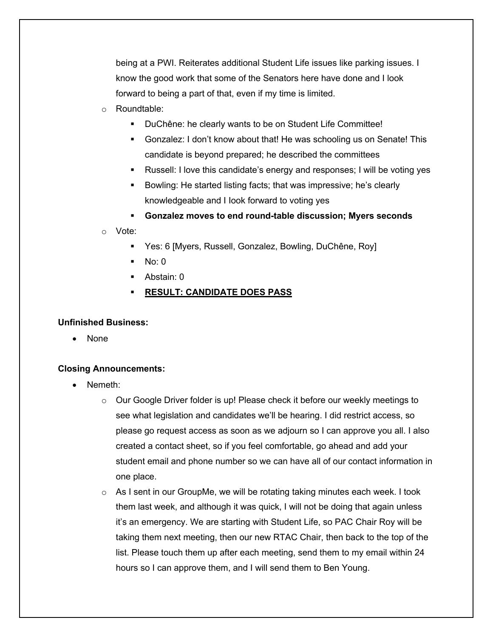being at a PWI. Reiterates additional Student Life issues like parking issues. I know the good work that some of the Senators here have done and I look forward to being a part of that, even if my time is limited.

- o Roundtable:
	- § DuChêne: he clearly wants to be on Student Life Committee!
	- § Gonzalez: I don't know about that! He was schooling us on Senate! This candidate is beyond prepared; he described the committees
	- § Russell: I love this candidate's energy and responses; I will be voting yes
	- § Bowling: He started listing facts; that was impressive; he's clearly knowledgeable and I Iook forward to voting yes
	- § **Gonzalez moves to end round-table discussion; Myers seconds**

o Vote:

- Yes: 6 [Myers, Russell, Gonzalez, Bowling, DuChêne, Roy]
- § No: 0
- § Abstain: 0
- § **RESULT: CANDIDATE DOES PASS**

#### **Unfinished Business:**

• None

### **Closing Announcements:**

- Nemeth:
	- $\circ$  Our Google Driver folder is up! Please check it before our weekly meetings to see what legislation and candidates we'll be hearing. I did restrict access, so please go request access as soon as we adjourn so I can approve you all. I also created a contact sheet, so if you feel comfortable, go ahead and add your student email and phone number so we can have all of our contact information in one place.
	- $\circ$  As I sent in our GroupMe, we will be rotating taking minutes each week. I took them last week, and although it was quick, I will not be doing that again unless it's an emergency. We are starting with Student Life, so PAC Chair Roy will be taking them next meeting, then our new RTAC Chair, then back to the top of the list. Please touch them up after each meeting, send them to my email within 24 hours so I can approve them, and I will send them to Ben Young.